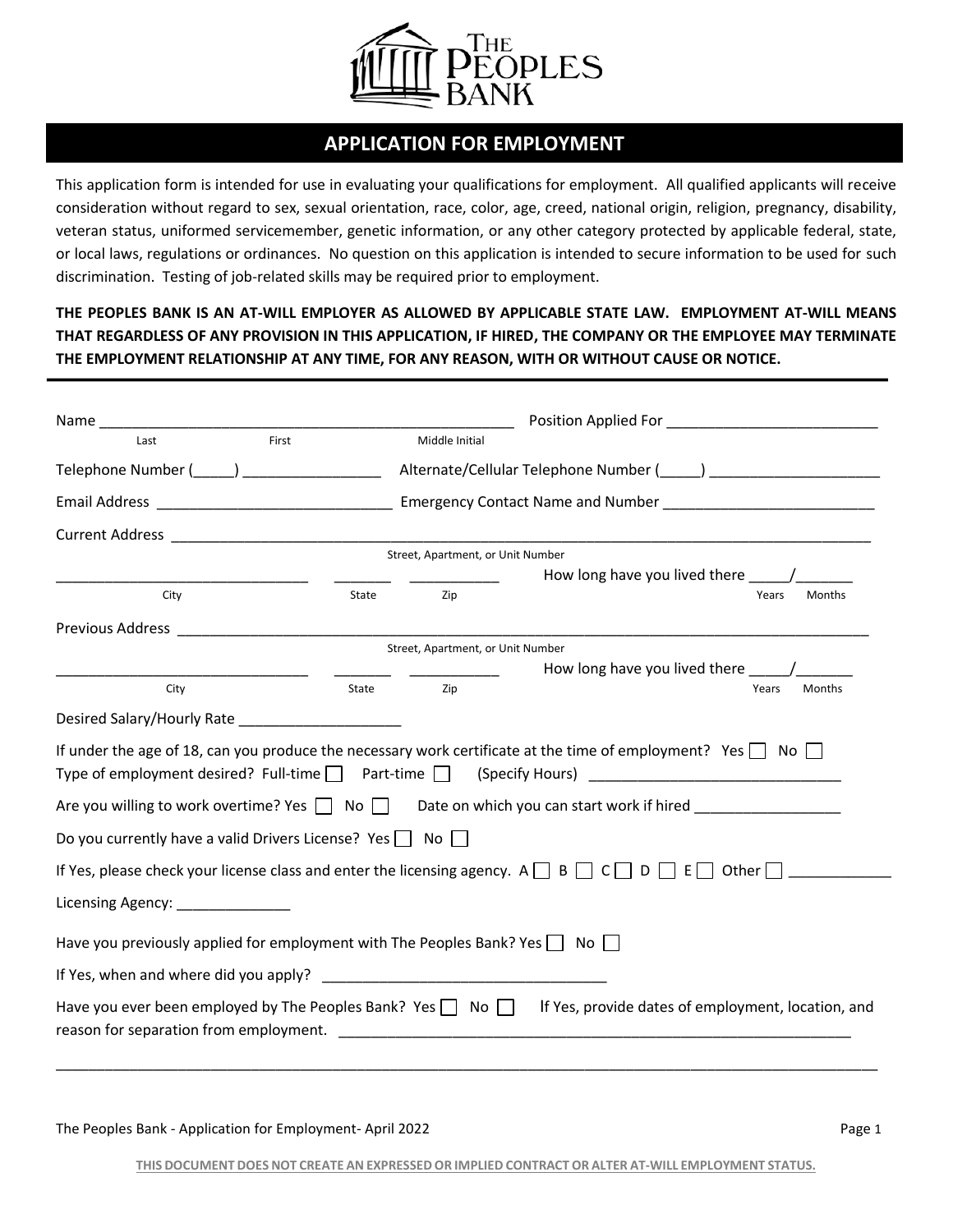

# **APPLICATION FOR EMPLOYMENT**

This application form is intended for use in evaluating your qualifications for employment. All qualified applicants will receive consideration without regard to sex, sexual orientation, race, color, age, creed, national origin, religion, pregnancy, disability, veteran status, uniformed servicemember, genetic information, or any other category protected by applicable federal, state, or local laws, regulations or ordinances. No question on this application is intended to secure information to be used for such discrimination. Testing of job-related skills may be required prior to employment.

**THE PEOPLES BANK IS AN AT-WILL EMPLOYER AS ALLOWED BY APPLICABLE STATE LAW. EMPLOYMENT AT-WILL MEANS THAT REGARDLESS OF ANY PROVISION IN THIS APPLICATION, IF HIRED, THE COMPANY OR THE EMPLOYEE MAY TERMINATE THE EMPLOYMENT RELATIONSHIP AT ANY TIME, FOR ANY REASON, WITH OR WITHOUT CAUSE OR NOTICE.**

| Name and the state of the state of the state of the state of the state of the state of the state of the state of the state of the state of the state of the state of the state of the state of the state of the state of the s |       |                                   |                                                                                                                                                                                                                                |
|--------------------------------------------------------------------------------------------------------------------------------------------------------------------------------------------------------------------------------|-------|-----------------------------------|--------------------------------------------------------------------------------------------------------------------------------------------------------------------------------------------------------------------------------|
| Last                                                                                                                                                                                                                           | First | Middle Initial                    |                                                                                                                                                                                                                                |
|                                                                                                                                                                                                                                |       |                                   |                                                                                                                                                                                                                                |
|                                                                                                                                                                                                                                |       |                                   |                                                                                                                                                                                                                                |
|                                                                                                                                                                                                                                |       |                                   |                                                                                                                                                                                                                                |
|                                                                                                                                                                                                                                |       | Street, Apartment, or Unit Number |                                                                                                                                                                                                                                |
|                                                                                                                                                                                                                                |       |                                   |                                                                                                                                                                                                                                |
| City                                                                                                                                                                                                                           | State | Zip                               | Years<br><b>Months</b>                                                                                                                                                                                                         |
|                                                                                                                                                                                                                                |       |                                   |                                                                                                                                                                                                                                |
|                                                                                                                                                                                                                                |       | Street, Apartment, or Unit Number |                                                                                                                                                                                                                                |
|                                                                                                                                                                                                                                |       |                                   |                                                                                                                                                                                                                                |
| City                                                                                                                                                                                                                           | State | Zip                               | Months<br>Years                                                                                                                                                                                                                |
| Desired Salary/Hourly Rate _____________________                                                                                                                                                                               |       |                                   |                                                                                                                                                                                                                                |
|                                                                                                                                                                                                                                |       |                                   | If under the age of 18, can you produce the necessary work certificate at the time of employment? Yes $\Box$ No $\Box$<br>Type of employment desired? Full-time   Part-time   (Specify Hours) ________________________________ |
|                                                                                                                                                                                                                                |       |                                   | Are you willing to work overtime? Yes $\Box$ No $\Box$ Date on which you can start work if hired $\Box$                                                                                                                        |
| Do you currently have a valid Drivers License? Yes $\Box$ No $\Box$                                                                                                                                                            |       |                                   |                                                                                                                                                                                                                                |
|                                                                                                                                                                                                                                |       |                                   | If Yes, please check your license class and enter the licensing agency. A $\Box$ B $\Box$ C $\Box$ D $\Box$ E $\Box$ Other $\Box$                                                                                              |
| Licensing Agency: _______________                                                                                                                                                                                              |       |                                   |                                                                                                                                                                                                                                |
| Have you previously applied for employment with The Peoples Bank? Yes $\Box$ No $\Box$                                                                                                                                         |       |                                   |                                                                                                                                                                                                                                |
|                                                                                                                                                                                                                                |       |                                   |                                                                                                                                                                                                                                |
|                                                                                                                                                                                                                                |       |                                   | Have you ever been employed by The Peoples Bank? Yes $\Box$ No $\Box$ If Yes, provide dates of employment, location, and                                                                                                       |
|                                                                                                                                                                                                                                |       |                                   |                                                                                                                                                                                                                                |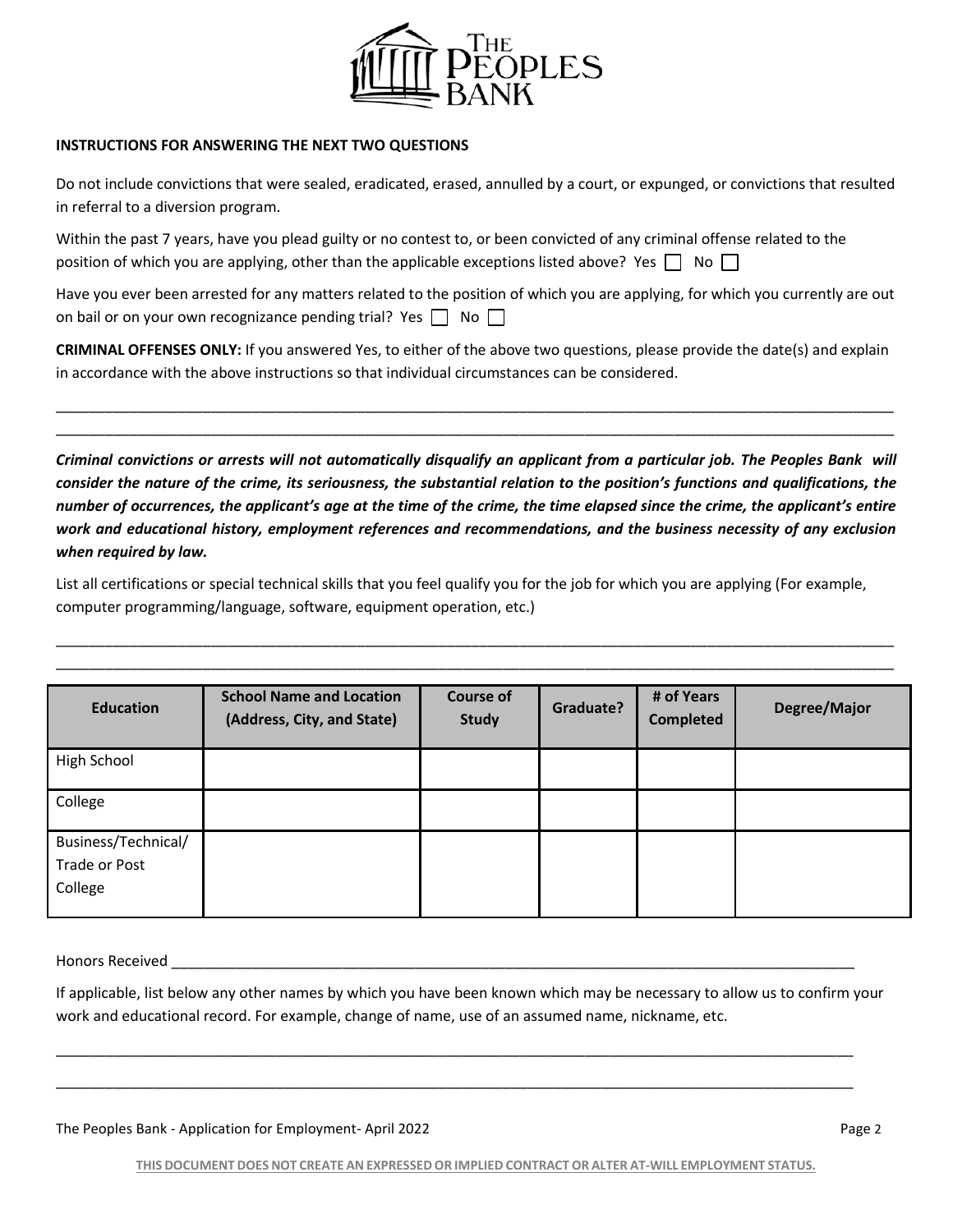

#### **INSTRUCTIONS FOR ANSWERING THE NEXT TWO QUESTIONS**

Do not include convictions that were sealed, eradicated, erased, annulled by a court, or expunged, or convictions that resulted in referral to a diversion program.

| Within the past 7 years, have you plead guilty or no contest to, or been convicted of any criminal offense related to the |
|---------------------------------------------------------------------------------------------------------------------------|
| position of which you are applying, other than the applicable exceptions listed above? Yes $\Box$ No $\Box$               |

Have you ever been arrested for any matters related to the position of which you are applying, for which you currently are out on bail or on your own recognizance pending trial? Yes  $\Box$  No  $\Box$ 

**CRIMINAL OFFENSES ONLY:** If you answered Yes, to either of the above two questions, please provide the date(s) and explain in accordance with the above instructions so that individual circumstances can be considered.

\_\_\_\_\_\_\_\_\_\_\_\_\_\_\_\_\_\_\_\_\_\_\_\_\_\_\_\_\_\_\_\_\_\_\_\_\_\_\_\_\_\_\_\_\_\_\_\_\_\_\_\_\_\_\_\_\_\_\_\_\_\_\_\_\_\_\_\_\_\_\_\_\_\_\_\_\_\_\_\_\_\_\_\_\_\_\_\_\_\_\_\_\_\_\_\_\_\_\_\_\_\_\_ \_\_\_\_\_\_\_\_\_\_\_\_\_\_\_\_\_\_\_\_\_\_\_\_\_\_\_\_\_\_\_\_\_\_\_\_\_\_\_\_\_\_\_\_\_\_\_\_\_\_\_\_\_\_\_\_\_\_\_\_\_\_\_\_\_\_\_\_\_\_\_\_\_\_\_\_\_\_\_\_\_\_\_\_\_\_\_\_\_\_\_\_\_\_\_\_\_\_\_\_\_\_\_

*Criminal convictions or arrests will not automatically disqualify an applicant from a particular job. The Peoples Bank will consider the nature of the crime, its seriousness, the substantial relation to the position's functions and qualifications, the number of occurrences, the applicant's age at the time of the crime, the time elapsed since the crime, the applicant's entire work and educational history, employment references and recommendations, and the business necessity of any exclusion when required by law.*

List all certifications or special technical skills that you feel qualify you for the job for which you are applying (For example, computer programming/language, software, equipment operation, etc.)

\_\_\_\_\_\_\_\_\_\_\_\_\_\_\_\_\_\_\_\_\_\_\_\_\_\_\_\_\_\_\_\_\_\_\_\_\_\_\_\_\_\_\_\_\_\_\_\_\_\_\_\_\_\_\_\_\_\_\_\_\_\_\_\_\_\_\_\_\_\_\_\_\_\_\_\_\_\_\_\_\_\_\_\_\_\_\_\_\_\_\_\_\_\_\_\_\_\_\_\_\_\_\_ \_\_\_\_\_\_\_\_\_\_\_\_\_\_\_\_\_\_\_\_\_\_\_\_\_\_\_\_\_\_\_\_\_\_\_\_\_\_\_\_\_\_\_\_\_\_\_\_\_\_\_\_\_\_\_\_\_\_\_\_\_\_\_\_\_\_\_\_\_\_\_\_\_\_\_\_\_\_\_\_\_\_\_\_\_\_\_\_\_\_\_\_\_\_\_\_\_\_\_\_\_\_\_

| <b>Education</b>                                | <b>School Name and Location</b><br>(Address, City, and State) | <b>Course of</b><br><b>Study</b> | Graduate? | # of Years<br><b>Completed</b> | Degree/Major |
|-------------------------------------------------|---------------------------------------------------------------|----------------------------------|-----------|--------------------------------|--------------|
| High School                                     |                                                               |                                  |           |                                |              |
| College                                         |                                                               |                                  |           |                                |              |
| Business/Technical/<br>Trade or Post<br>College |                                                               |                                  |           |                                |              |

Honors Received

If applicable, list below any other names by which you have been known which may be necessary to allow us to confirm your work and educational record. For example, change of name, use of an assumed name, nickname, etc.

\_\_\_\_\_\_\_\_\_\_\_\_\_\_\_\_\_\_\_\_\_\_\_\_\_\_\_\_\_\_\_\_\_\_\_\_\_\_\_\_\_\_\_\_\_\_\_\_\_\_\_\_\_\_\_\_\_\_\_\_\_\_\_\_\_\_\_\_\_\_\_\_\_\_\_\_\_\_\_\_\_\_\_\_\_\_\_\_\_\_\_\_\_\_\_\_\_\_

\_\_\_\_\_\_\_\_\_\_\_\_\_\_\_\_\_\_\_\_\_\_\_\_\_\_\_\_\_\_\_\_\_\_\_\_\_\_\_\_\_\_\_\_\_\_\_\_\_\_\_\_\_\_\_\_\_\_\_\_\_\_\_\_\_\_\_\_\_\_\_\_\_\_\_\_\_\_\_\_\_\_\_\_\_\_\_\_\_\_\_\_\_\_\_\_\_\_

| The Peoples Bank - Application for Employment-April 2022 | Page 2 |
|----------------------------------------------------------|--------|
|----------------------------------------------------------|--------|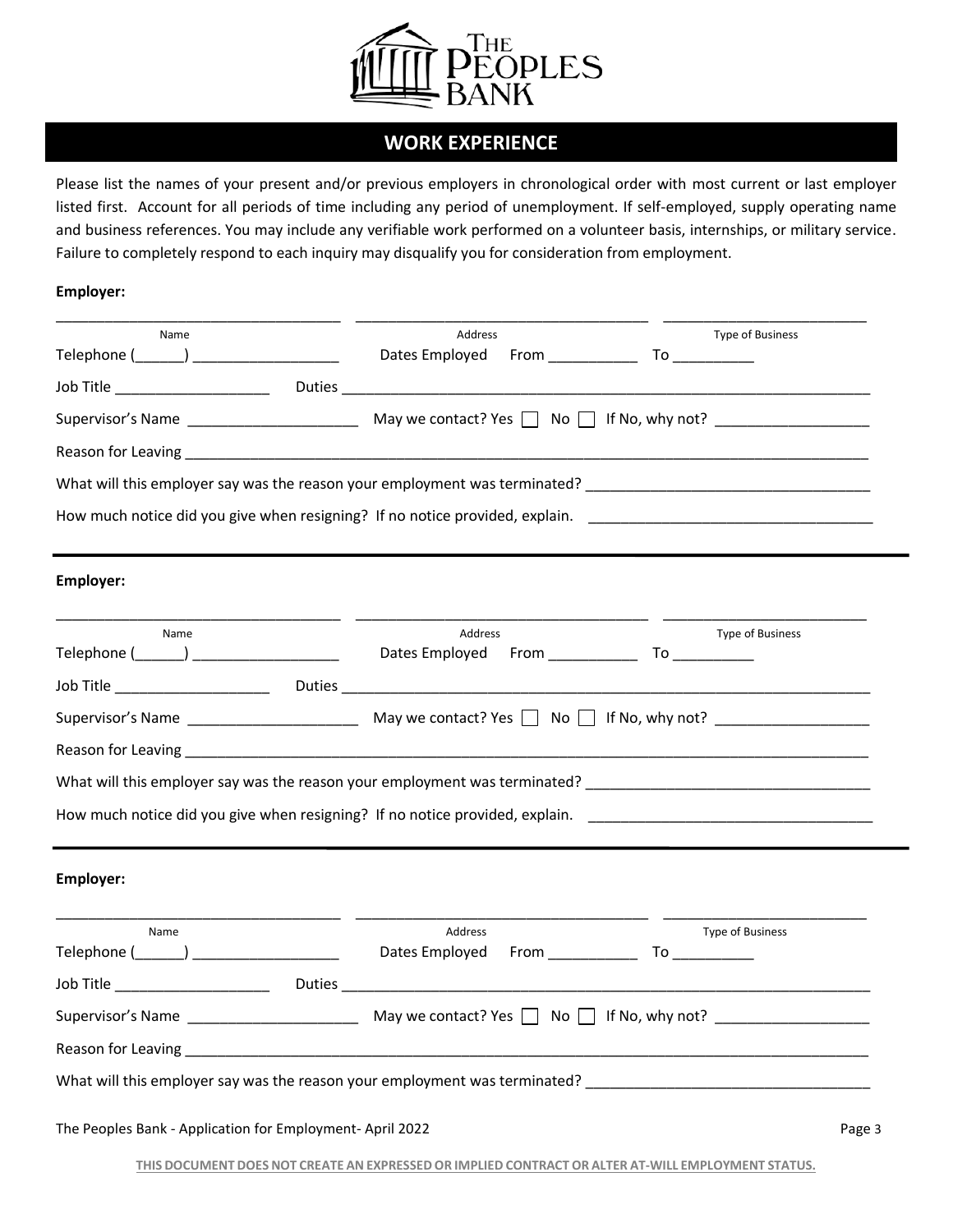

## **WORK EXPERIENCE**

Please list the names of your present and/or previous employers in chronological order with most current or last employer listed first. Account for all periods of time including any period of unemployment. If self-employed, supply operating name and business references. You may include any verifiable work performed on a volunteer basis, internships, or military service. Failure to completely respond to each inquiry may disqualify you for consideration from employment.

#### **Employer:**

| Name                                                      | Address                                                                                                                                                                                                                              | <b>Type of Business</b> |
|-----------------------------------------------------------|--------------------------------------------------------------------------------------------------------------------------------------------------------------------------------------------------------------------------------------|-------------------------|
| Telephone (_______) ______________________                | Dates Employed                                                                                                                                                                                                                       | $From$ To To            |
|                                                           |                                                                                                                                                                                                                                      |                         |
|                                                           |                                                                                                                                                                                                                                      |                         |
|                                                           | Reason for Leaving <b>contained a set of the contract of the contract of the contract of the contract of the contract of the contract of the contract of the contract of the contract of the contract of the contract of the con</b> |                         |
|                                                           |                                                                                                                                                                                                                                      |                         |
|                                                           | How much notice did you give when resigning? If no notice provided, explain. The manuscription of the manuscription                                                                                                                  |                         |
| Employer:                                                 |                                                                                                                                                                                                                                      |                         |
| Name<br>Telephone (_______) _____________________         | Address<br>Dates Employed                                                                                                                                                                                                            | Type of Business        |
|                                                           |                                                                                                                                                                                                                                      |                         |
|                                                           |                                                                                                                                                                                                                                      |                         |
|                                                           |                                                                                                                                                                                                                                      |                         |
|                                                           | What will this employer say was the reason your employment was terminated? The manuscription of the control of                                                                                                                       |                         |
|                                                           | How much notice did you give when resigning? If no notice provided, explain. The manuscription of the manuscription                                                                                                                  |                         |
| Employer:                                                 |                                                                                                                                                                                                                                      |                         |
| Name                                                      | Address                                                                                                                                                                                                                              | Type of Business        |
|                                                           | Dates Employed<br>From _____________                                                                                                                                                                                                 |                         |
| Job Title _______________________                         | Duties and the contract of the contract of the contract of the contract of the contract of the contract of the                                                                                                                       |                         |
|                                                           |                                                                                                                                                                                                                                      |                         |
|                                                           |                                                                                                                                                                                                                                      |                         |
|                                                           | What will this employer say was the reason your employment was terminated?                                                                                                                                                           |                         |
| The Peoples Bank - Application for Employment- April 2022 |                                                                                                                                                                                                                                      | Page 3                  |

**THIS DOCUMENT DOES NOT CREATE AN EXPRESSED OR IMPLIED CONTRACT OR ALTER AT-WILL EMPLOYMENT STATUS.**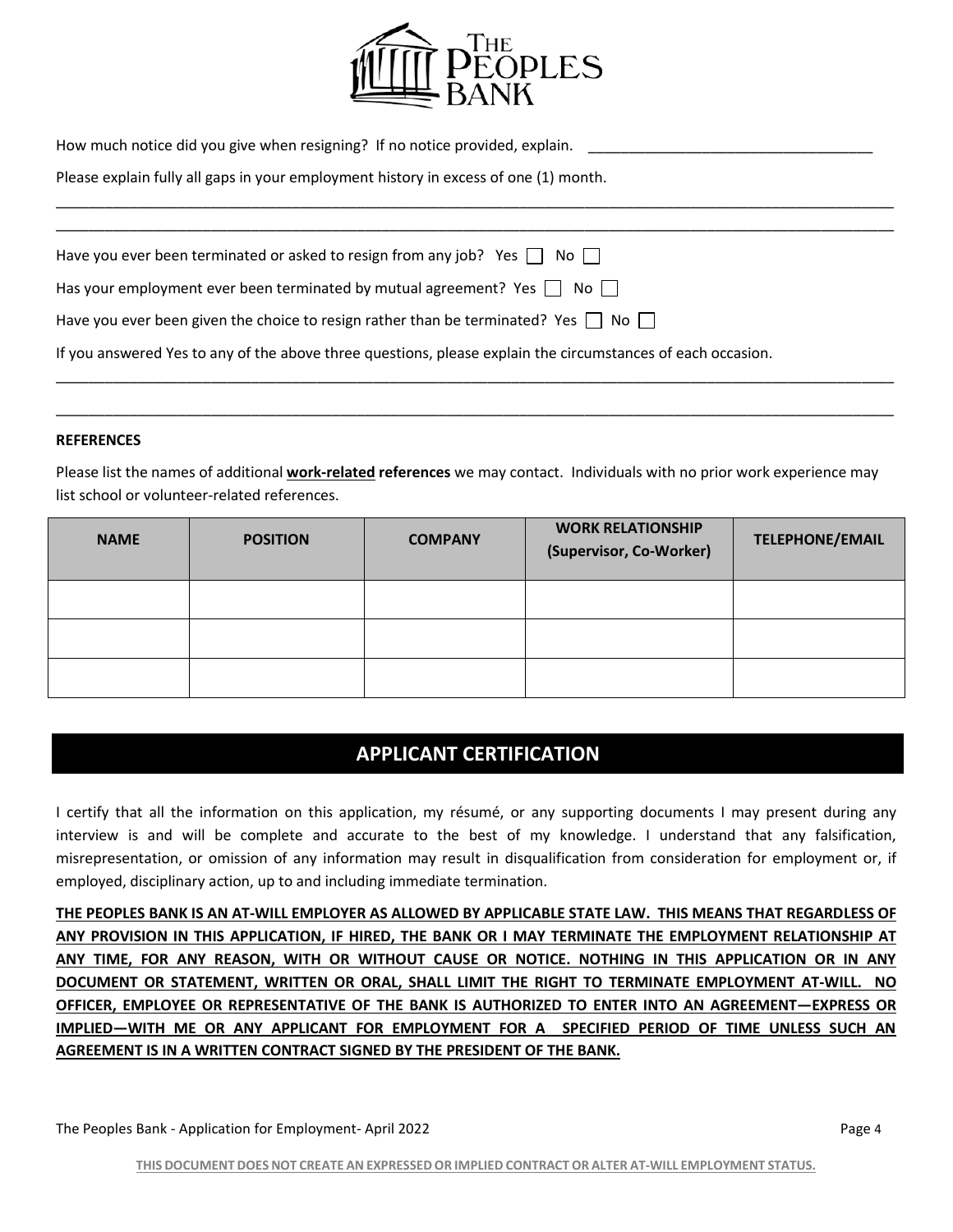

| How much notice did you give when resigning? If no notice provided, explain. |  |  |
|------------------------------------------------------------------------------|--|--|
|------------------------------------------------------------------------------|--|--|

\_\_\_\_\_\_\_\_\_\_\_\_\_\_\_\_\_\_\_\_\_\_\_\_\_\_\_\_\_\_\_\_\_\_\_\_\_\_\_\_\_\_\_\_\_\_\_\_\_\_\_\_\_\_\_\_\_\_\_\_\_\_\_\_\_\_\_\_\_\_\_\_\_\_\_\_\_\_\_\_\_\_\_\_\_\_\_\_\_\_\_\_\_\_\_\_\_\_\_\_\_\_\_

Please explain fully all gaps in your employment history in excess of one (1) month.

| Have you ever been terminated or asked to resign from any job? Yes $\vert$   No $\vert$                     |  |
|-------------------------------------------------------------------------------------------------------------|--|
| Has your employment ever been terminated by mutual agreement? Yes $\Box$ No $\Box$                          |  |
| Have you ever been given the choice to resign rather than be terminated? Yes $\vert$   No                   |  |
| If you answered Yes to any of the above three questions, please explain the circumstances of each occasion. |  |

\_\_\_\_\_\_\_\_\_\_\_\_\_\_\_\_\_\_\_\_\_\_\_\_\_\_\_\_\_\_\_\_\_\_\_\_\_\_\_\_\_\_\_\_\_\_\_\_\_\_\_\_\_\_\_\_\_\_\_\_\_\_\_\_\_\_\_\_\_\_\_\_\_\_\_\_\_\_\_\_\_\_\_\_\_\_\_\_\_\_\_\_\_\_\_\_\_\_\_\_\_\_\_

\_\_\_\_\_\_\_\_\_\_\_\_\_\_\_\_\_\_\_\_\_\_\_\_\_\_\_\_\_\_\_\_\_\_\_\_\_\_\_\_\_\_\_\_\_\_\_\_\_\_\_\_\_\_\_\_\_\_\_\_\_\_\_\_\_\_\_\_\_\_\_\_\_\_\_\_\_\_\_\_\_\_\_\_\_\_\_\_\_\_\_\_\_\_\_\_\_\_\_\_\_\_\_

#### **REFERENCES**

Please list the names of additional **work-related references** we may contact. Individuals with no prior work experience may list school or volunteer-related references.

| <b>NAME</b> | <b>POSITION</b> | <b>COMPANY</b> | <b>WORK RELATIONSHIP</b><br>(Supervisor, Co-Worker) | <b>TELEPHONE/EMAIL</b> |
|-------------|-----------------|----------------|-----------------------------------------------------|------------------------|
|             |                 |                |                                                     |                        |
|             |                 |                |                                                     |                        |
|             |                 |                |                                                     |                        |

### **APPLICANT CERTIFICATION**

I certify that all the information on this application, my résumé, or any supporting documents I may present during any interview is and will be complete and accurate to the best of my knowledge. I understand that any falsification, misrepresentation, or omission of any information may result in disqualification from consideration for employment or, if employed, disciplinary action, up to and including immediate termination.

**THE PEOPLES BANK IS AN AT-WILL EMPLOYER AS ALLOWED BY APPLICABLE STATE LAW. THIS MEANS THAT REGARDLESS OF ANY PROVISION IN THIS APPLICATION, IF HIRED, THE BANK OR I MAY TERMINATE THE EMPLOYMENT RELATIONSHIP AT ANY TIME, FOR ANY REASON, WITH OR WITHOUT CAUSE OR NOTICE. NOTHING IN THIS APPLICATION OR IN ANY DOCUMENT OR STATEMENT, WRITTEN OR ORAL, SHALL LIMIT THE RIGHT TO TERMINATE EMPLOYMENT AT-WILL. NO OFFICER, EMPLOYEE OR REPRESENTATIVE OF THE BANK IS AUTHORIZED TO ENTER INTO AN AGREEMENT—EXPRESS OR IMPLIED—WITH ME OR ANY APPLICANT FOR EMPLOYMENT FOR A SPECIFIED PERIOD OF TIME UNLESS SUCH AN AGREEMENT IS IN A WRITTEN CONTRACT SIGNED BY THE PRESIDENT OF THE BANK.**